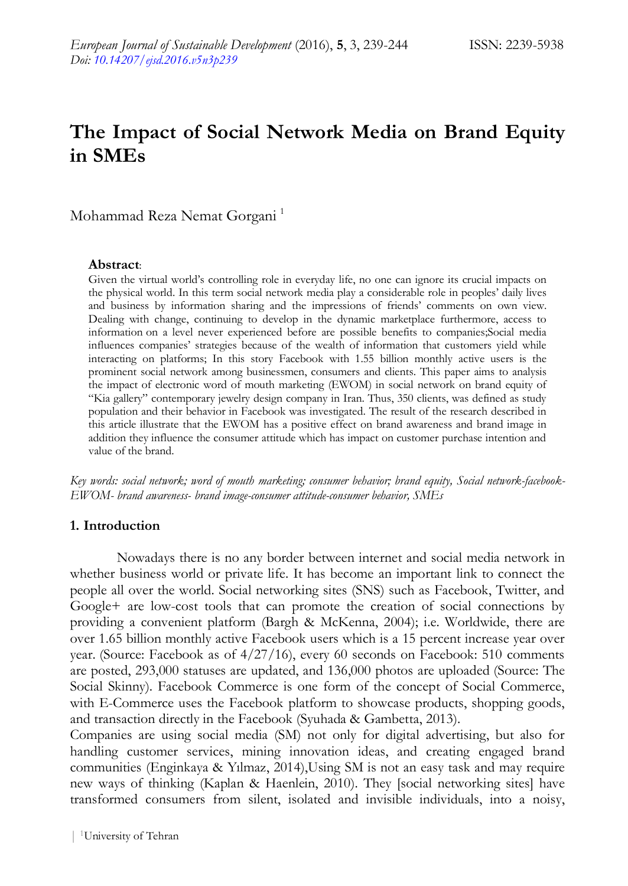# **The Impact of Social Network Media on Brand Equity in SMEs**

Mohammad Reza Nemat Gorgani<sup>1</sup>

#### **Abstract**:

Given the virtual world's controlling role in everyday life, no one can ignore its crucial impacts on the physical world. In this term social network media play a considerable role in peoples' daily lives and business by information sharing and the impressions of friends' comments on own view. Dealing with change, continuing to develop in the dynamic marketplace furthermore, access to information on a level never experienced before are possible benefits to companies;Social media influences companies' strategies because of the wealth of information that customers yield while interacting on platforms; In this story Facebook with 1.55 billion monthly active users is the prominent social network among businessmen, consumers and clients. This paper aims to analysis the impact of electronic word of mouth marketing (EWOM) in social network on brand equity of "Kia gallery" contemporary jewelry design company in Iran. Thus, 350 clients, was defined as study population and their behavior in Facebook was investigated. The result of the research described in this article illustrate that the EWOM has a positive effect on brand awareness and brand image in addition they influence the consumer attitude which has impact on customer purchase intention and value of the brand.

*Key words: social network; word of mouth marketing; consumer behavior; brand equity, Social network-facebook-EWOM- brand awareness- brand image-consumer attitude-consumer behavior, SMEs*

#### **1. Introduction**

Nowadays there is no any border between internet and social media network in whether business world or private life. It has become an important link to connect the people all over the world. Social networking sites (SNS) such as Facebook, Twitter, and Google+ are low-cost tools that can promote the creation of social connections by providing a convenient platform (Bargh & McKenna, 2004); i.e. Worldwide, there are over 1.65 billion monthly active Facebook users which is a 15 percent increase year over year. (Source: Facebook as of 4/27/16), every 60 seconds on Facebook: 510 comments are posted, 293,000 statuses are updated, and 136,000 photos are uploaded (Source: The Social Skinny). Facebook Commerce is one form of the concept of Social Commerce, with E-Commerce uses the Facebook platform to showcase products, shopping goods, and transaction directly in the Facebook (Syuhada & Gambetta, 2013).

Companies are using social media (SM) not only for digital advertising, but also for handling customer services, mining innovation ideas, and creating engaged brand communities (Enginkaya & Yılmaz, 2014),Using SM is not an easy task and may require new ways of thinking (Kaplan & Haenlein, 2010). They [social networking sites] have transformed consumers from silent, isolated and invisible individuals, into a noisy,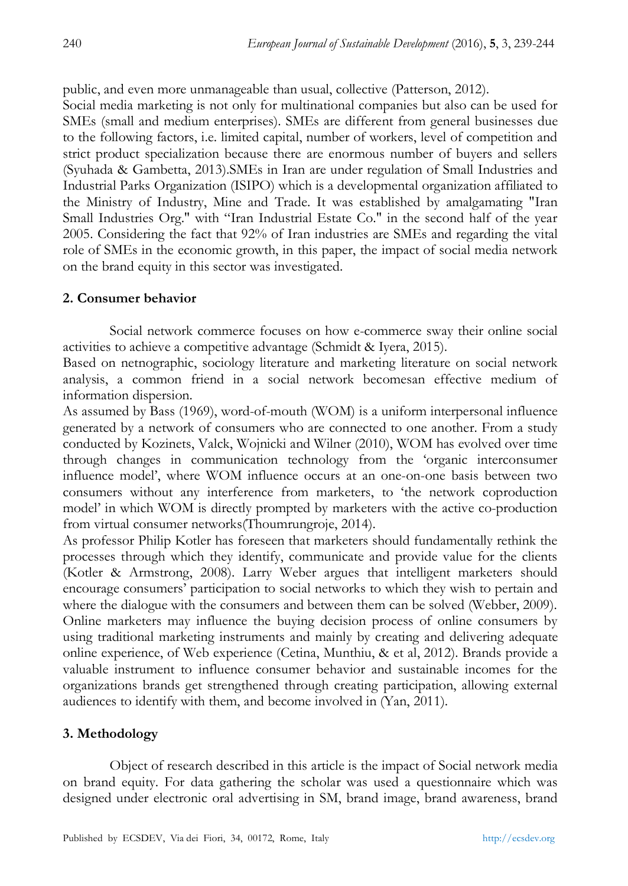public, and even more unmanageable than usual, collective (Patterson, 2012).

Social media marketing is not only for multinational companies but also can be used for SMEs (small and medium enterprises). SMEs are different from general businesses due to the following factors, i.e. limited capital, number of workers, level of competition and strict product specialization because there are enormous number of buyers and sellers (Syuhada & Gambetta, 2013).SMEs in Iran are under regulation of Small Industries and Industrial Parks Organization (ISIPO) which is a developmental organization affiliated to the Ministry of Industry, Mine and Trade. It was established by amalgamating "Iran Small Industries Org." with "Iran Industrial Estate Co." in the second half of the year 2005. Considering the fact that 92% of Iran industries are SMEs and regarding the vital role of SMEs in the economic growth, in this paper, the impact of social media network on the brand equity in this sector was investigated.

### **2. Consumer behavior**

Social network commerce focuses on how e-commerce sway their online social activities to achieve a competitive advantage (Schmidt & Iyera, 2015).

Based on netnographic, sociology literature and marketing literature on social network analysis, a common friend in a social network becomesan effective medium of information dispersion.

As assumed by Bass (1969), word-of-mouth (WOM) is a uniform interpersonal influence generated by a network of consumers who are connected to one another. From a study conducted by Kozinets, Valck, Wojnicki and Wilner (2010), WOM has evolved over time through changes in communication technology from the 'organic interconsumer influence model', where WOM influence occurs at an one-on-one basis between two consumers without any interference from marketers, to 'the network coproduction model' in which WOM is directly prompted by marketers with the active co-production from virtual consumer networks(Thoumrungroje, 2014).

As professor Philip Kotler has foreseen that marketers should fundamentally rethink the processes through which they identify, communicate and provide value for the clients (Kotler & Armstrong, 2008). Larry Weber argues that intelligent marketers should encourage consumers' participation to social networks to which they wish to pertain and where the dialogue with the consumers and between them can be solved (Webber, 2009). Online marketers may influence the buying decision process of online consumers by using traditional marketing instruments and mainly by creating and delivering adequate online experience, of Web experience (Cetina, Munthiu, & et al, 2012). Brands provide a valuable instrument to influence consumer behavior and sustainable incomes for the organizations brands get strengthened through creating participation, allowing external audiences to identify with them, and become involved in (Yan, 2011).

### **3. Methodology**

Object of research described in this article is the impact of Social network media on brand equity. For data gathering the scholar was used a questionnaire which was designed under electronic oral advertising in SM, brand image, brand awareness, brand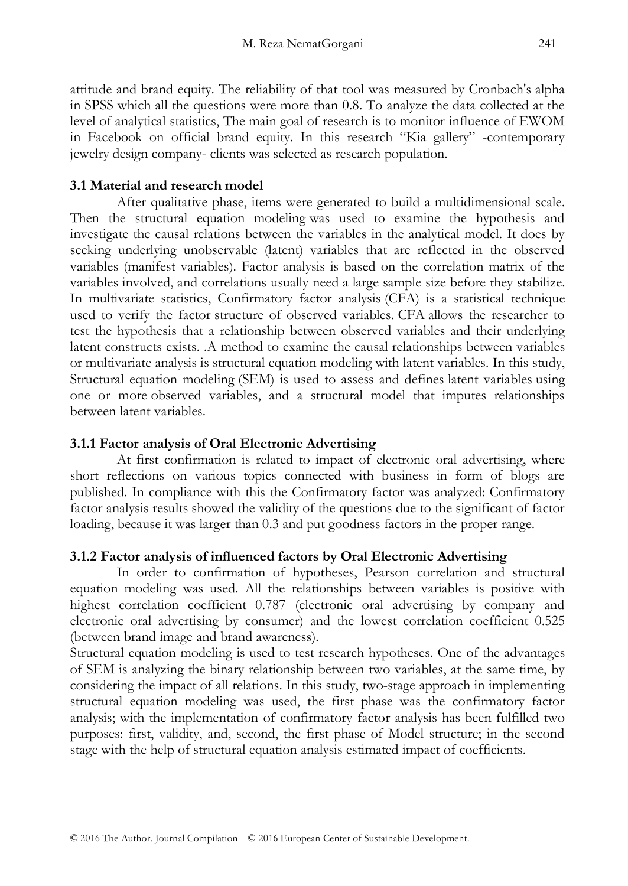attitude and brand equity. The reliability of that tool was measured by Cronbach's alpha in SPSS which all the questions were more than 0.8. To analyze the data collected at the level of analytical statistics, The main goal of research is to monitor influence of EWOM in Facebook on official brand equity. In this research "Kia gallery" -contemporary jewelry design company- clients was selected as research population.

## **3.1 Material and research model**

After qualitative phase, items were generated to build a multidimensional scale. Then the structural equation modeling was used to examine the hypothesis and investigate the causal relations between the variables in the analytical model. It does by seeking underlying unobservable (latent) variables that are reflected in the observed variables (manifest variables). Factor analysis is based on the correlation matrix of the variables involved, and correlations usually need a large sample size before they stabilize. In multivariate statistics, Confirmatory factor analysis (CFA) is a statistical technique used to verify the factor structure of observed variables. CFA allows the researcher to test the hypothesis that a relationship between observed variables and their underlying latent constructs exists. .A method to examine the causal relationships between variables or multivariate analysis is structural equation modeling with latent variables. In this study, Structural equation modeling (SEM) is used to assess and defines [latent variables](https://en.wikipedia.org/wiki/Latent_variables) using one or more [observed variables,](https://en.wikipedia.org/wiki/Observable_variable) and a structural model that imputes relationships between latent variables.

## **3.1.1 Factor analysis of Oral Electronic Advertising**

At first confirmation is related to impact of electronic oral advertising, where short reflections on various topics connected with business in form of blogs are published. In compliance with this the Confirmatory factor was analyzed: Confirmatory factor analysis results showed the validity of the questions due to the significant of factor loading, because it was larger than 0.3 and put goodness factors in the proper range.

### **3.1.2 Factor analysis of influenced factors by Oral Electronic Advertising**

In order to confirmation of hypotheses, Pearson correlation and structural equation modeling was used. All the relationships between variables is positive with highest correlation coefficient 0.787 (electronic oral advertising by company and electronic oral advertising by consumer) and the lowest correlation coefficient 0.525 (between brand image and brand awareness).

Structural equation modeling is used to test research hypotheses. One of the advantages of SEM is analyzing the binary relationship between two variables, at the same time, by considering the impact of all relations. In this study, two-stage approach in implementing structural equation modeling was used, the first phase was the confirmatory factor analysis; with the implementation of confirmatory factor analysis has been fulfilled two purposes: first, validity, and, second, the first phase of Model structure; in the second stage with the help of structural equation analysis estimated impact of coefficients.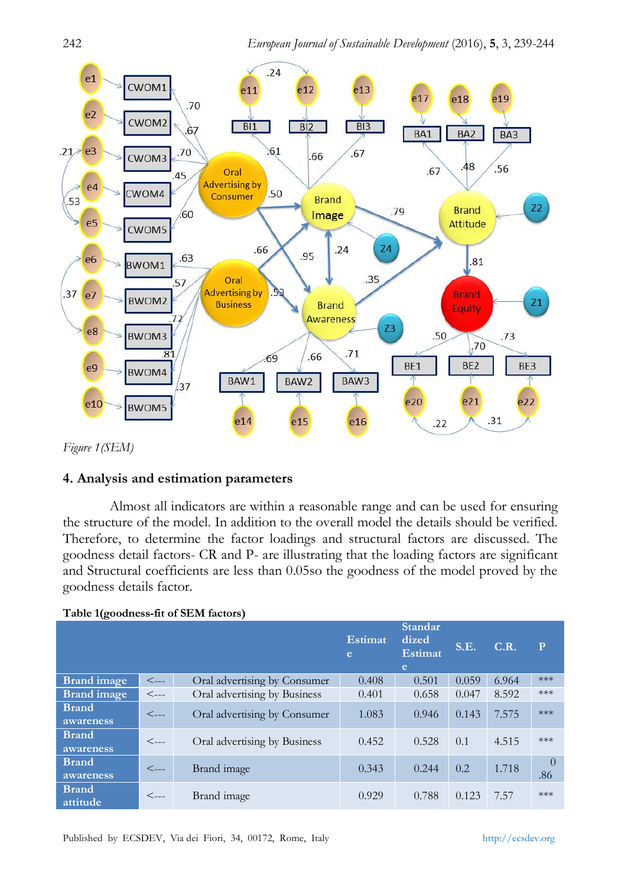

*Figure 1(SEM)*

### **4. Analysis and estimation parameters**

Almost all indicators are within a reasonable range and can be used for ensuring the structure of the model. In addition to the overall model the details should be verified. Therefore, to determine the factor loadings and structural factors are discussed. The goodness detail factors- CR and P- are illustrating that the loading factors are significant and Structural coefficients are less than 0.05so the goodness of the model proved by the goodness details factor.

| $\check{ }$               |                    |                              |              |                                         |       |       |                 |
|---------------------------|--------------------|------------------------------|--------------|-----------------------------------------|-------|-------|-----------------|
|                           |                    |                              | Estimat<br>e | Standar<br>dized<br><b>Estimat</b><br>e | S.E.  | C.R.  | $\mathbf{P}$    |
| <b>Brand</b> image        | $\leftarrow$       | Oral advertising by Consumer | 0.408        | 0.501                                   | 0.059 | 6.964 | $***$           |
| <b>Brand</b> image        | $\lt_{\text{---}}$ | Oral advertising by Business | 0.401        | 0.658                                   | 0.047 | 8.592 | ***             |
| <b>Brand</b><br>awareness | $\lt_{\text{---}}$ | Oral advertising by Consumer | 1.083        | 0.946                                   | 0.143 | 7.575 | ***             |
| <b>Brand</b><br>awareness | $\leftarrow$       | Oral advertising by Business | 0.452        | 0.528                                   | 0.1   | 4.515 | ***             |
| <b>Brand</b><br>awareness | $\leftarrow$       | Brand image                  | 0.343        | 0.244                                   | 0.2   | 1.718 | $\theta$<br>.86 |
| <b>Brand</b><br>attitude  | $\lt_{\text{---}}$ | Brand image                  | 0.929        | 0.788                                   | 0.123 | 7.57  | ***             |

## **Table 1(goodness-fit of SEM factors)**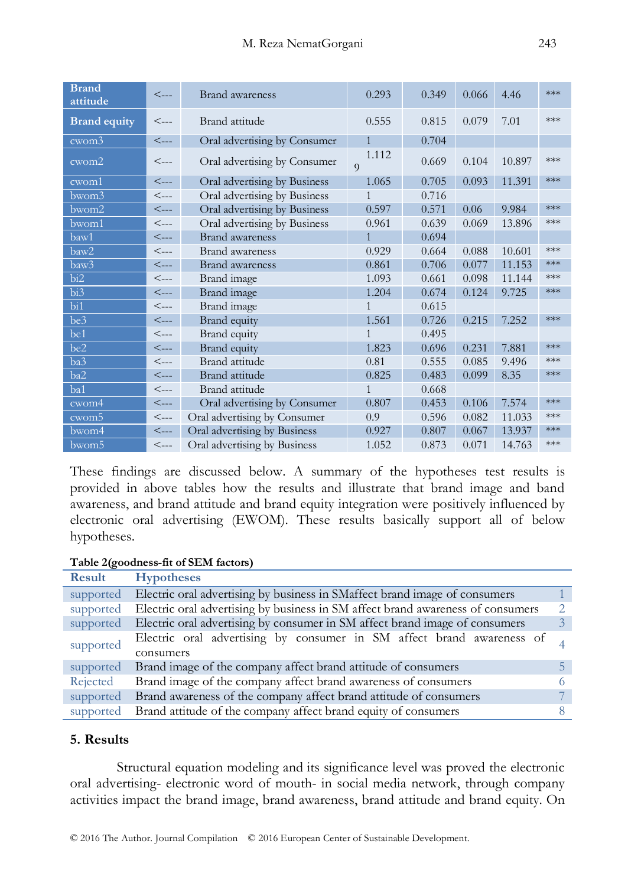| <b>Brand</b><br>attitude  | $\lt_{\text{---}}$ | <b>Brand</b> awareness       | 0.293                   | 0.349 | 0.066 | 4.46   | ***   |
|---------------------------|--------------------|------------------------------|-------------------------|-------|-------|--------|-------|
| <b>Brand equity</b>       | $\lt_{\text{---}}$ | Brand attitude               | 0.555                   | 0.815 | 0.079 | 7.01   | $***$ |
| cwom <sup>3</sup>         | $\lt_{\text{---}}$ | Oral advertising by Consumer | $\mathbf{1}$            | 0.704 |       |        |       |
| $\overline{\text{cwom2}}$ | $\leftarrow$       | Oral advertising by Consumer | 1.112<br>$\overline{Q}$ | 0.669 | 0.104 | 10.897 | ***   |
| cwom1                     | $\lt_{\text{---}}$ | Oral advertising by Business | 1.065                   | 0.705 | 0.093 | 11.391 | ***   |
| bwom3                     | $<\!\!-\!\!-\!\!-$ | Oral advertising by Business | 1                       | 0.716 |       |        |       |
| $b$ wom $2$               | $\leftarrow$       | Oral advertising by Business | 0.597                   | 0.571 | 0.06  | 9.984  | ***   |
| bwom1                     | $\leftarrow$       | Oral advertising by Business | 0.961                   | 0.639 | 0.069 | 13.896 | $***$ |
| baw1                      | $\leftarrow$       | <b>Brand</b> awareness       | $\mathbf{1}$            | 0.694 |       |        |       |
| baw2                      | $\lt_{\text{---}}$ | <b>Brand</b> awareness       | 0.929                   | 0.664 | 0.088 | 10.601 | ***   |
| baw3                      | $\leftarrow$       | <b>Brand</b> awareness       | 0.861                   | 0.706 | 0.077 | 11.153 | ***   |
| bi2                       | $\leftarrow$       | Brand image                  | 1.093                   | 0.661 | 0.098 | 11.144 | ***   |
| bi <sub>3</sub>           | $\leftarrow$       | Brand image                  | 1.204                   | 0.674 | 0.124 | 9.725  | $***$ |
| bi1                       | $<\!\!-\!\!-\!\!-$ | Brand image                  | $\mathbf{1}$            | 0.615 |       |        |       |
| be3                       | $\leftarrow$       | Brand equity                 | 1.561                   | 0.726 | 0.215 | 7.252  | $***$ |
| be1                       | $\leftarrow$       | Brand equity                 | $\mathbf{1}$            | 0.495 |       |        |       |
| be2                       | $\leftarrow$       | Brand equity                 | 1.823                   | 0.696 | 0.231 | 7.881  | ***   |
| ba3                       | $\leftarrow$       | Brand attitude               | 0.81                    | 0.555 | 0.085 | 9.496  | ***   |
| ba2                       | $\leftarrow$       | Brand attitude               | 0.825                   | 0.483 | 0.099 | 8.35   | ***   |
| ba1                       | $\mathrel{<}\dots$ | Brand attitude               | 1                       | 0.668 |       |        |       |
| cwom4                     | $\leftarrow$       | Oral advertising by Consumer | 0.807                   | 0.453 | 0.106 | 7.574  | ***   |
| cwom <sub>5</sub>         | $\leftarrow$       | Oral advertising by Consumer | 0.9                     | 0.596 | 0.082 | 11.033 | ***   |
| bwom4                     | $\leftarrow$       | Oral advertising by Business | 0.927                   | 0.807 | 0.067 | 13.937 | ***   |
| bwom <sub>5</sub>         | $\lt_{\text{---}}$ | Oral advertising by Business | 1.052                   | 0.873 | 0.071 | 14.763 | $***$ |

These findings are discussed below. A summary of the hypotheses test results is provided in above tables how the results and illustrate that brand image and band awareness, and brand attitude and brand equity integration were positively influenced by electronic oral advertising (EWOM). These results basically support all of below hypotheses.

## **Table 2(goodness-fit of SEM factors)**

| <b>Result</b> | <b>Hypotheses</b>                                                               |  |
|---------------|---------------------------------------------------------------------------------|--|
| supported     | Electric oral advertising by business in SMaffect brand image of consumers      |  |
| supported     | Electric oral advertising by business in SM affect brand awareness of consumers |  |
| supported     | Electric oral advertising by consumer in SM affect brand image of consumers     |  |
| supported     | Electric oral advertising by consumer in SM affect brand awareness of           |  |
|               | consumers                                                                       |  |
| supported     | Brand image of the company affect brand attitude of consumers                   |  |
| Rejected      | Brand image of the company affect brand awareness of consumers                  |  |
| supported     | Brand awareness of the company affect brand attitude of consumers               |  |
| supported     | Brand attitude of the company affect brand equity of consumers                  |  |

#### **5. Results**

Structural equation modeling and its significance level was proved the electronic oral advertising- electronic word of mouth- in social media network, through company activities impact the brand image, brand awareness, brand attitude and brand equity. On